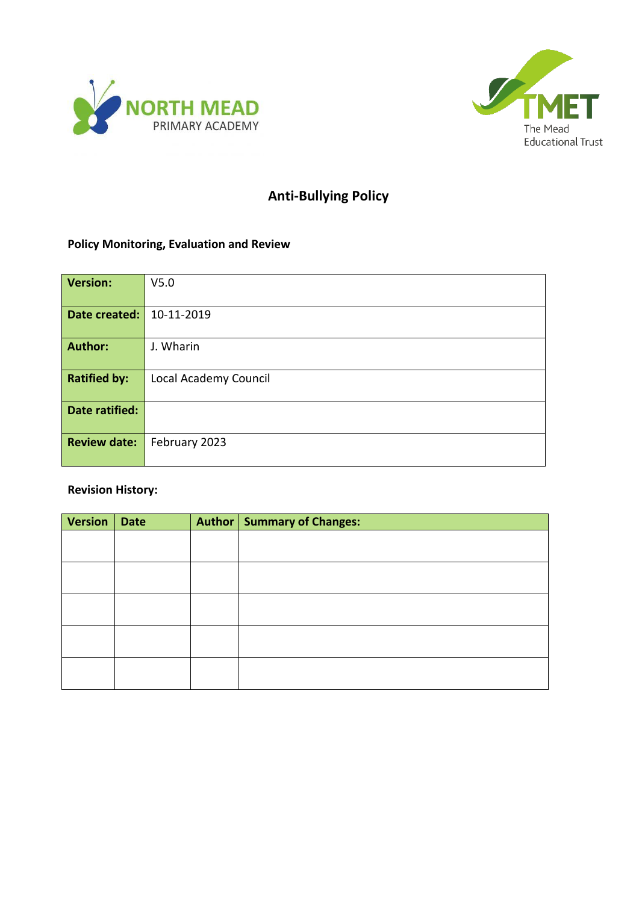



# **Anti-Bullying Policy**

# **Policy Monitoring, Evaluation and Review**

| Version:            | V <sub>5.0</sub>      |
|---------------------|-----------------------|
| Date created:       | 10-11-2019            |
| <b>Author:</b>      | J. Wharin             |
| <b>Ratified by:</b> | Local Academy Council |
| Date ratified:      |                       |
| <b>Review date:</b> | February 2023         |

# **Revision History:**

| <b>Version</b> | <b>Date</b> | Author   Summary of Changes: |
|----------------|-------------|------------------------------|
|                |             |                              |
|                |             |                              |
|                |             |                              |
|                |             |                              |
|                |             |                              |
|                |             |                              |
|                |             |                              |
|                |             |                              |
|                |             |                              |
|                |             |                              |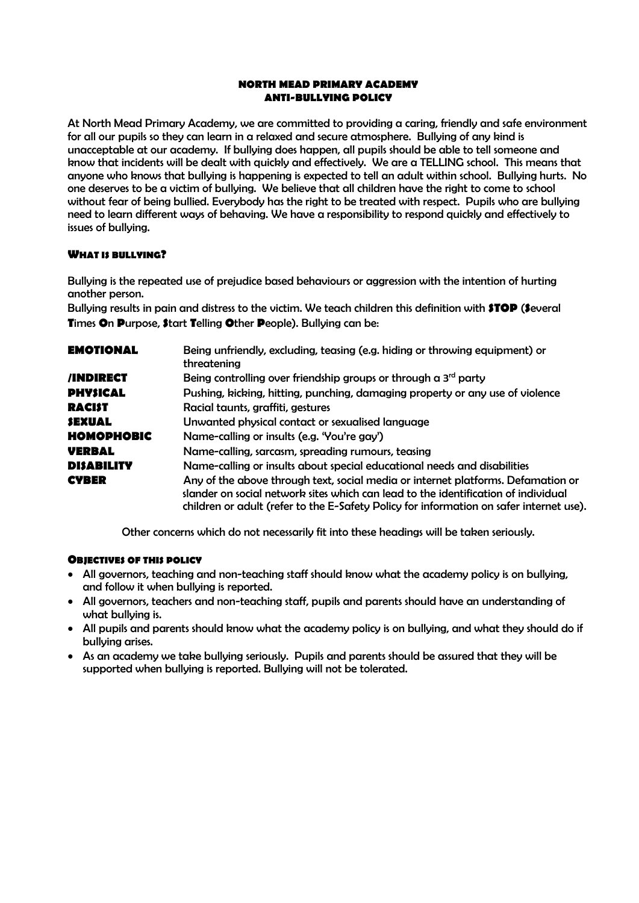#### **NORTH MEAD PRIMARY ACADEMY ANTI-BULLYING POLICY**

At North Mead Primary Academy, we are committed to providing a caring, friendly and safe environment for all our pupils so they can learn in a relaxed and secure atmosphere. Bullying of any kind is unacceptable at our academy. If bullying does happen, all pupils should be able to tell someone and know that incidents will be dealt with quickly and effectively. We are a TELLING school. This means that anyone who knows that bullying is happening is expected to tell an adult within school. Bullying hurts. No one deserves to be a victim of bullying. We believe that all children have the right to come to school without fear of being bullied. Everybody has the right to be treated with respect. Pupils who are bullying need to learn different ways of behaving. We have a responsibility to respond quickly and effectively to issues of bullying.

# **WHAT IS BULLYING?**

Bullying is the repeated use of prejudice based behaviours or aggression with the intention of hurting another person.

Bullying results in pain and distress to the victim. We teach children this definition with **STOP** (**S**everal **T**imes **O**n **P**urpose, **S**tart **T**elling **O**ther **P**eople). Bullying can be:

| <b>EMOTIONAL</b>  | Being unfriendly, excluding, teasing (e.g. hiding or throwing equipment) or<br>threatening                                                                                                                                                                        |  |  |  |
|-------------------|-------------------------------------------------------------------------------------------------------------------------------------------------------------------------------------------------------------------------------------------------------------------|--|--|--|
| /INDIRECT         | Being controlling over friendship groups or through a $3rd$ party                                                                                                                                                                                                 |  |  |  |
| <b>PHYSICAL</b>   | Pushing, kicking, hitting, punching, damaging property or any use of violence                                                                                                                                                                                     |  |  |  |
| <b>RACIST</b>     | Racial taunts, graffiti, gestures                                                                                                                                                                                                                                 |  |  |  |
| <b>SEXUAL</b>     | Unwanted physical contact or sexualised language                                                                                                                                                                                                                  |  |  |  |
| <b>HOMOPHOBIC</b> | Name-calling or insults (e.g. 'You're gay')                                                                                                                                                                                                                       |  |  |  |
| <b>VERBAL</b>     | Name-calling, sarcasm, spreading rumours, teasing                                                                                                                                                                                                                 |  |  |  |
| <b>DISABILITY</b> | Name-calling or insults about special educational needs and disabilities                                                                                                                                                                                          |  |  |  |
| <b>CYBER</b>      | Any of the above through text, social media or internet platforms. Defamation or<br>slander on social network sites which can lead to the identification of individual<br>children or adult (refer to the E-Safety Policy for information on safer internet use). |  |  |  |

Other concerns which do not necessarily fit into these headings will be taken seriously.

# **OBJECTIVES OF THIS POLICY**

- All governors, teaching and non-teaching staff should know what the academy policy is on bullying, and follow it when bullying is reported.
- All governors, teachers and non-teaching staff, pupils and parents should have an understanding of what bullying is.
- All pupils and parents should know what the academy policy is on bullying, and what they should do if bullying arises.
- As an academy we take bullying seriously. Pupils and parents should be assured that they will be supported when bullying is reported. Bullying will not be tolerated.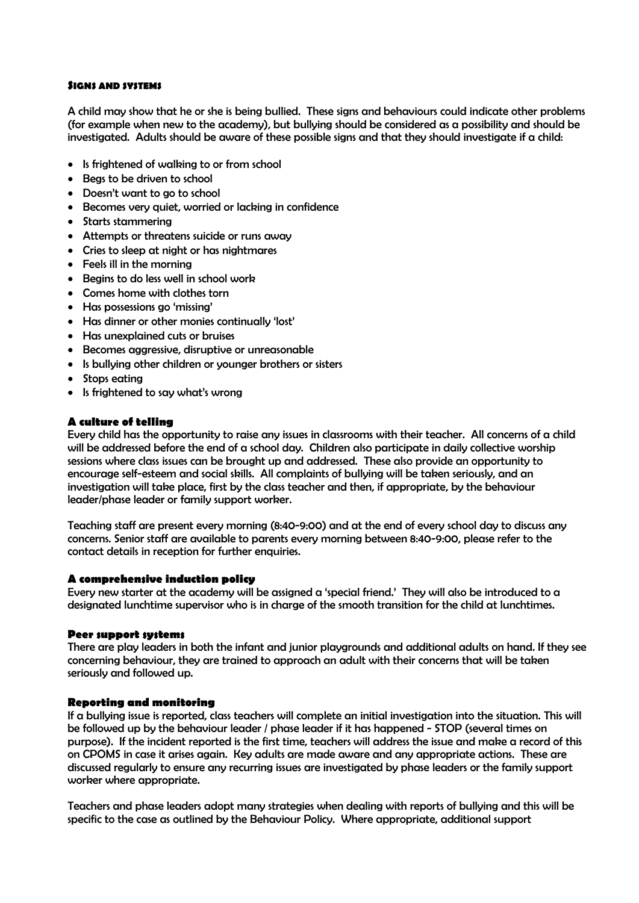### **SIGNS AND SYSTEMS**

A child may show that he or she is being bullied. These signs and behaviours could indicate other problems (for example when new to the academy), but bullying should be considered as a possibility and should be investigated. Adults should be aware of these possible signs and that they should investigate if a child:

- Is frightened of walking to or from school
- Beas to be driven to school
- Doesn't want to go to school
- Becomes very quiet, worried or lacking in confidence
- Starts stammering
- Attempts or threatens suicide or runs away
- Cries to sleep at night or has nightmares
- Feels ill in the morning
- Begins to do less well in school work
- Comes home with clothes torn
- Has possessions go 'missing'
- Has dinner or other monies continually 'lost'
- Has unexplained cuts or bruises
- Becomes aggressive, disruptive or unreasonable
- Is bullying other children or younger brothers or sisters
- Stops eating
- Is frightened to say what's wrong

#### **A culture of telling**

Every child has the opportunity to raise any issues in classrooms with their teacher. All concerns of a child will be addressed before the end of a school day. Children also participate in daily collective worship sessions where class issues can be brought up and addressed. These also provide an opportunity to encourage self-esteem and social skills. All complaints of bullying will be taken seriously, and an investigation will take place, first by the class teacher and then, if appropriate, by the behaviour leader/phase leader or family support worker.

Teaching staff are present every morning (8:40-9:00) and at the end of every school day to discuss any concerns. Senior staff are available to parents every morning between 8:40-9:00, please refer to the contact details in reception for further enquiries.

#### **A comprehensive induction policy**

Every new starter at the academy will be assigned a 'special friend.' They will also be introduced to a designated lunchtime supervisor who is in charge of the smooth transition for the child at lunchtimes.

#### **Peer support systems**

There are play leaders in both the infant and junior playgrounds and additional adults on hand. If they see concerning behaviour, they are trained to approach an adult with their concerns that will be taken seriously and followed up.

#### **Reporting and monitoring**

If a bullying issue is reported, class teachers will complete an initial investigation into the situation. This will be followed up by the behaviour leader / phase leader if it has happened - STOP (several times on purpose). If the incident reported is the first time, teachers will address the issue and make a record of this on CPOMS in case it arises again. Key adults are made aware and any appropriate actions. These are discussed regularly to ensure any recurring issues are investigated by phase leaders or the family support worker where appropriate.

Teachers and phase leaders adopt many strategies when dealing with reports of bullying and this will be specific to the case as outlined by the Behaviour Policy. Where appropriate, additional support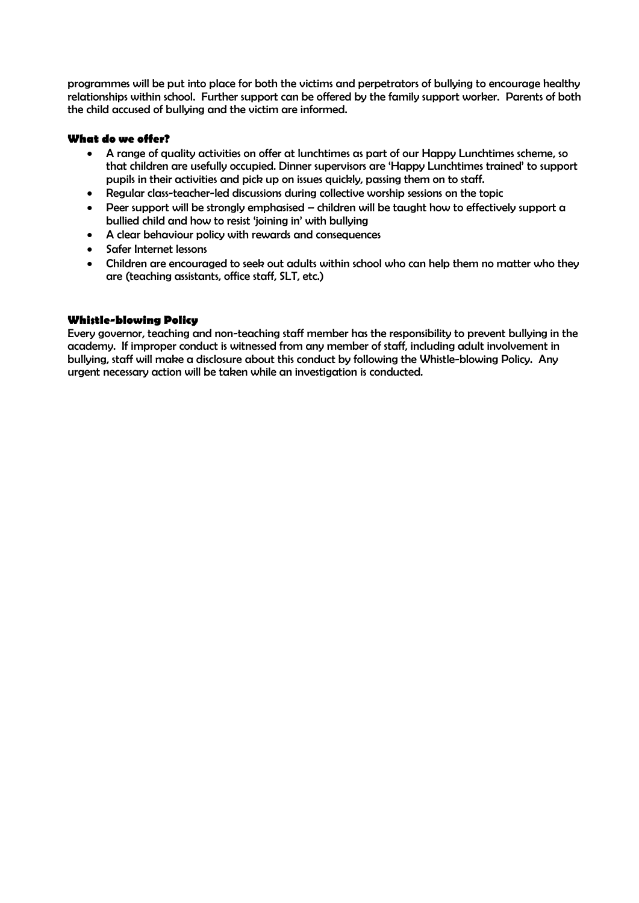programmes will be put into place for both the victims and perpetrators of bullying to encourage healthy relationships within school. Further support can be offered by the family support worker. Parents of both the child accused of bullying and the victim are informed.

# **What do we offer?**

- A range of quality activities on offer at lunchtimes as part of our Happy Lunchtimes scheme, so that children are usefully occupied. Dinner supervisors are 'Happy Lunchtimes trained' to support pupils in their activities and pick up on issues quickly, passing them on to staff.
- Regular class-teacher-led discussions during collective worship sessions on the topic
- Peer support will be strongly emphasised children will be taught how to effectively support a bullied child and how to resist 'joining in' with bullying
- A clear behaviour policy with rewards and consequences
- Safer Internet lessons
- Children are encouraged to seek out adults within school who can help them no matter who they are (teaching assistants, office staff, SLT, etc.)

# **Whistle-blowing Policy**

Every governor, teaching and non-teaching staff member has the responsibility to prevent bullying in the academy. If improper conduct is witnessed from any member of staff, including adult involvement in bullying, staff will make a disclosure about this conduct by following the Whistle-blowing Policy. Any urgent necessary action will be taken while an investigation is conducted.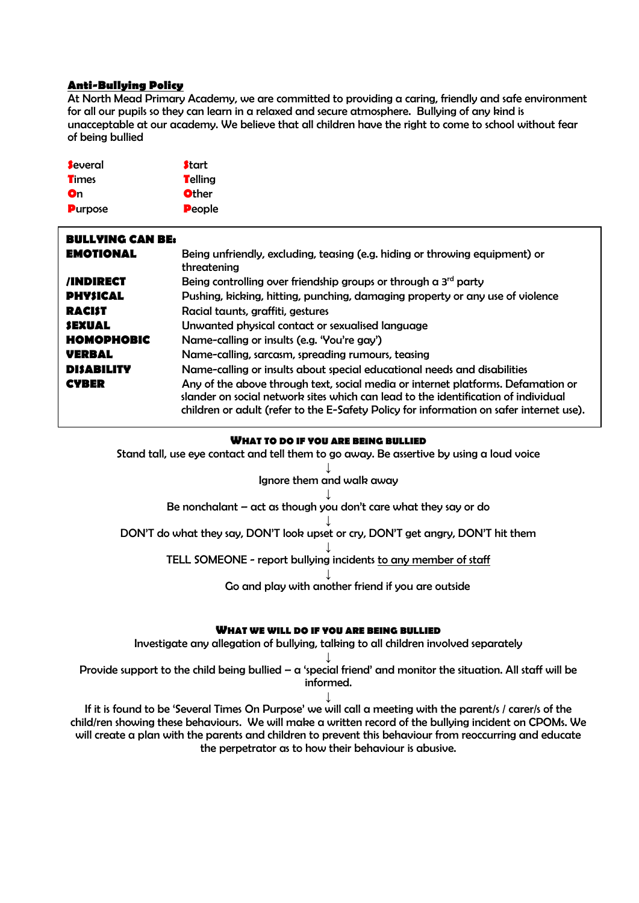# **Anti-Bullying Policy**

At North Mead Primary Academy, we are committed to providing a caring, friendly and safe environment for all our pupils so they can learn in a relaxed and secure atmosphere. Bullying of any kind is unacceptable at our academy. We believe that all children have the right to come to school without fear of being bullied

| <b>Several</b> | <b>Start</b> |
|----------------|--------------|
| <b>Times</b>   | Telling      |
| On             | <b>Other</b> |
| <b>Purpose</b> | People       |

| <b>BULLYING CAN BE:</b> |                                                                                                                                                                                                                                                                   |
|-------------------------|-------------------------------------------------------------------------------------------------------------------------------------------------------------------------------------------------------------------------------------------------------------------|
| <b>EMOTIONAL</b>        | Being unfriendly, excluding, teasing (e.g. hiding or throwing equipment) or<br>threatening                                                                                                                                                                        |
| <b>/INDIRECT</b>        | Being controlling over friendship groups or through a 3 <sup>rd</sup> party                                                                                                                                                                                       |
| <b>PHYSICAL</b>         | Pushing, kicking, hitting, punching, damaging property or any use of violence                                                                                                                                                                                     |
| <b>RACIST</b>           | Racial taunts, graffiti, gestures                                                                                                                                                                                                                                 |
| <b>SEXUAL</b>           | Unwanted physical contact or sexualised language                                                                                                                                                                                                                  |
| HOMOPHOBIC              | Name-calling or insults (e.g. 'You're gay')                                                                                                                                                                                                                       |
| <b>VERBAL</b>           | Name-calling, sarcasm, spreading rumours, teasing                                                                                                                                                                                                                 |
| <b>DISABILITY</b>       | Name-calling or insults about special educational needs and disabilities                                                                                                                                                                                          |
| <b>CYBER</b>            | Any of the above through text, social media or internet platforms. Defamation or<br>slander on social network sites which can lead to the identification of individual<br>children or adult (refer to the E-Safety Policy for information on safer internet use). |

#### **WHAT TO DO IF YOU ARE BEING BULLIED**

Stand tall, use eye contact and tell them to go away. Be assertive by using a loud voice

#### ↓ Ignore them and walk away

↓ Be nonchalant  $-$  act as though you don't care what they say or do

↓ DON'T do what they say, DON'T look upset or cry, DON'T get angry, DON'T hit them

> ↓ TELL SOMEONE - report bullying incidents to any member of staff

> > ↓ Go and play with another friend if you are outside

#### **WHAT WE WILL DO IF YOU ARE BEING BULLIED**

Investigate any allegation of bullying, talking to all children involved separately

↓ Provide support to the child being bullied –  $\alpha$  'special friend' and monitor the situation. All staff will be informed.

↓ If it is found to be 'Several Times On Purpose' we will call a meeting with the parent/s / carer/s of the child/ren showing these behaviours. We will make a written record of the bullying incident on CPOMs. We will create a plan with the parents and children to prevent this behaviour from reoccurring and educate the perpetrator as to how their behaviour is abusive.